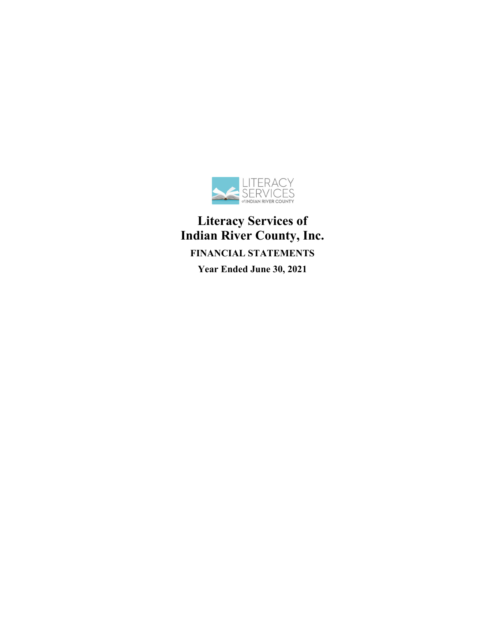

**Literacy Services of Indian River County, Inc. FINANCIAL STATEMENTS Year Ended June 30, 2021**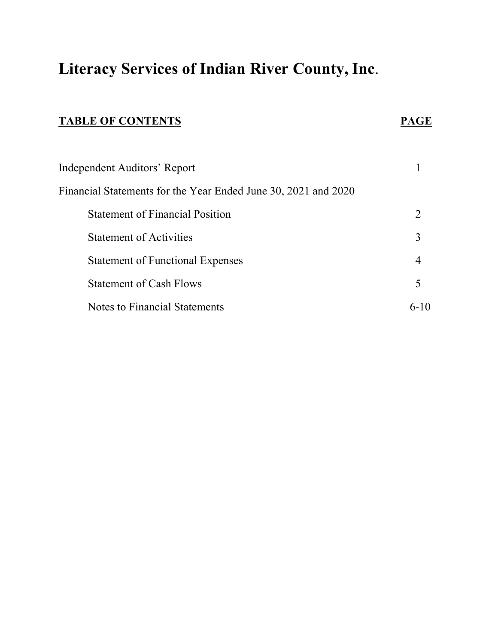## **Literacy Services of Indian River County, Inc**.

## **TABLE OF CONTENTS PAGE**

| Independent Auditors' Report                                   |                |
|----------------------------------------------------------------|----------------|
| Financial Statements for the Year Ended June 30, 2021 and 2020 |                |
| <b>Statement of Financial Position</b>                         | $\mathcal{D}$  |
| <b>Statement of Activities</b>                                 | 3              |
| <b>Statement of Functional Expenses</b>                        | $\overline{4}$ |
| <b>Statement of Cash Flows</b>                                 | 5              |
| <b>Notes to Financial Statements</b>                           |                |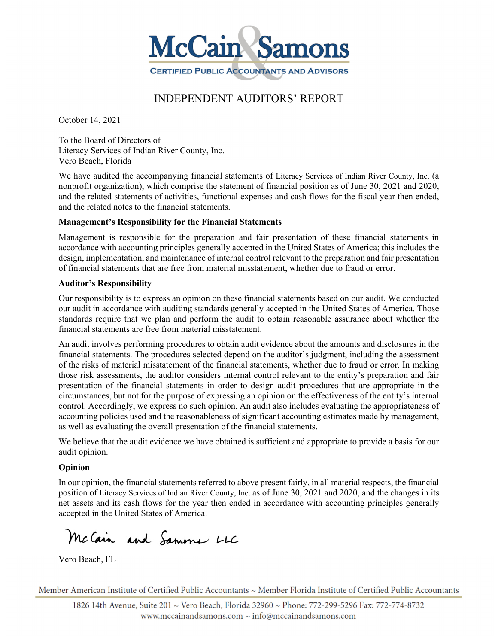

### INDEPENDENT AUDITORS' REPORT

October 14, 2021

To the Board of Directors of Literacy Services of Indian River County, Inc. Vero Beach, Florida

We have audited the accompanying financial statements of Literacy Services of Indian River County, Inc. (a nonprofit organization), which comprise the statement of financial position as of June 30, 2021 and 2020, and the related statements of activities, functional expenses and cash flows for the fiscal year then ended, and the related notes to the financial statements.

#### **Management's Responsibility for the Financial Statements**

Management is responsible for the preparation and fair presentation of these financial statements in accordance with accounting principles generally accepted in the United States of America; this includes the design, implementation, and maintenance of internal control relevant to the preparation and fair presentation of financial statements that are free from material misstatement, whether due to fraud or error.

#### **Auditor's Responsibility**

Our responsibility is to express an opinion on these financial statements based on our audit. We conducted our audit in accordance with auditing standards generally accepted in the United States of America. Those standards require that we plan and perform the audit to obtain reasonable assurance about whether the financial statements are free from material misstatement.

An audit involves performing procedures to obtain audit evidence about the amounts and disclosures in the financial statements. The procedures selected depend on the auditor's judgment, including the assessment of the risks of material misstatement of the financial statements, whether due to fraud or error. In making those risk assessments, the auditor considers internal control relevant to the entity's preparation and fair presentation of the financial statements in order to design audit procedures that are appropriate in the circumstances, but not for the purpose of expressing an opinion on the effectiveness of the entity's internal control. Accordingly, we express no such opinion. An audit also includes evaluating the appropriateness of accounting policies used and the reasonableness of significant accounting estimates made by management, as well as evaluating the overall presentation of the financial statements.

We believe that the audit evidence we have obtained is sufficient and appropriate to provide a basis for our audit opinion.

#### **Opinion**

In our opinion, the financial statements referred to above present fairly, in all material respects, the financial position of Literacy Services of Indian River County, Inc. as of June 30, 2021 and 2020, and the changes in its net assets and its cash flows for the year then ended in accordance with accounting principles generally accepted in the United States of America.

McCain and Samone LLC

Vero Beach, FL

Member American Institute of Certified Public Accountants ~ Member Florida Institute of Certified Public Accountants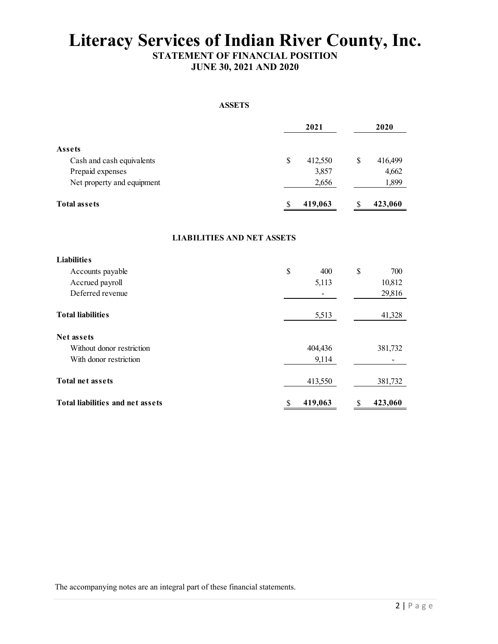### **Literacy Services of Indian River County, Inc. STATEMENT OF FINANCIAL POSITION JUNE 30, 2021 AND 2020**

#### **ASSETS**

|                            | 2021          |    | 2020    |
|----------------------------|---------------|----|---------|
| Assets                     |               |    |         |
| Cash and cash equivalents  | \$<br>412,550 | S  | 416,499 |
| Prepaid expenses           | 3,857         |    | 4,662   |
| Net property and equipment | 2,656         |    | 1,899   |
| <b>Total assets</b>        | 419,063       | \$ | 423,060 |

#### **LIABILITIES AND NET ASSETS**

| <b>Liabilities</b>                      |           |           |
|-----------------------------------------|-----------|-----------|
| Accounts payable                        | \$<br>400 | \$<br>700 |
| Accrued payroll                         | 5,113     | 10,812    |
| Deferred revenue                        |           | 29,816    |
| <b>Total liabilities</b>                | 5,513     | 41,328    |
| Net assets                              |           |           |
| Without donor restriction               | 404,436   | 381,732   |
| With donor restriction                  | 9,114     |           |
| <b>Total net assets</b>                 | 413,550   | 381,732   |
| <b>Total liabilities and net assets</b> | 419,063   | 423,060   |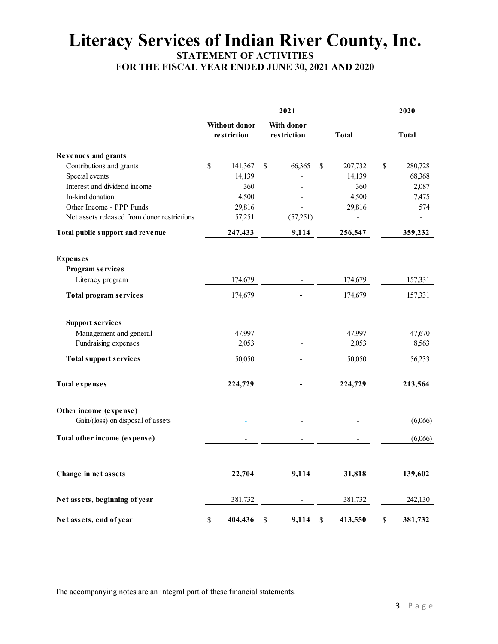## **Literacy Services of Indian River County, Inc. STATEMENT OF ACTIVITIES FOR THE FISCAL YEAR ENDED JUNE 30, 2021 AND 2020**

|                                                             | 2021 |                              |    |                           |    | 2020              |    |              |
|-------------------------------------------------------------|------|------------------------------|----|---------------------------|----|-------------------|----|--------------|
|                                                             |      | Without donor<br>restriction |    | With donor<br>restriction |    | <b>Total</b>      |    | <b>Total</b> |
| <b>Revenues and grants</b>                                  |      |                              |    |                           |    |                   |    |              |
| Contributions and grants                                    | \$   | 141,367                      | S  | 66,365                    | \$ | 207,732           | \$ | 280,728      |
| Special events                                              |      | 14,139                       |    |                           |    | 14,139            |    | 68,368       |
| Interest and dividend income                                |      | 360                          |    |                           |    | 360               |    | 2,087        |
| In-kind donation                                            |      | 4,500                        |    |                           |    | 4,500             |    | 7,475        |
| Other Income - PPP Funds                                    |      | 29,816                       |    |                           |    | 29,816            |    | 574          |
| Net assets released from donor restrictions                 |      | 57,251                       |    | (57,251)                  |    | $\qquad \qquad -$ |    |              |
| Total public support and revenue                            |      | 247,433                      |    | 9,114                     |    | 256,547           |    | 359,232      |
| <b>Expenses</b>                                             |      |                              |    |                           |    |                   |    |              |
| Program services                                            |      |                              |    |                           |    |                   |    |              |
| Literacy program                                            |      | 174,679                      |    |                           |    | 174,679           |    | 157,331      |
| <b>Total program services</b>                               |      | 174,679                      |    |                           |    | 174,679           |    | 157,331      |
| <b>Support services</b>                                     |      |                              |    |                           |    |                   |    |              |
| Management and general                                      |      | 47,997                       |    |                           |    | 47,997            |    | 47,670       |
| Fundraising expenses                                        |      | 2,053                        |    |                           |    | 2,053             |    | 8,563        |
| <b>Total support services</b>                               |      | 50,050                       |    |                           |    | 50,050            |    | 56,233       |
| <b>Total expenses</b>                                       |      | 224,729                      |    |                           |    | 224,729           |    | 213,564      |
| Other income (expense)<br>Gain/(loss) on disposal of assets |      |                              |    |                           |    |                   |    | (6,066)      |
|                                                             |      |                              |    |                           |    |                   |    |              |
| Total other income (expense)                                |      |                              |    |                           |    |                   |    | (6,066)      |
| Change in net assets                                        |      | 22,704                       |    | 9,114                     |    | 31,818            |    | 139,602      |
| Net assets, beginning of year                               |      | 381,732                      |    |                           |    | 381,732           |    | 242,130      |
| Net assets, end of year                                     | \$   | 404,436                      | \$ | 9,114                     | \$ | 413,550           | \$ | 381,732      |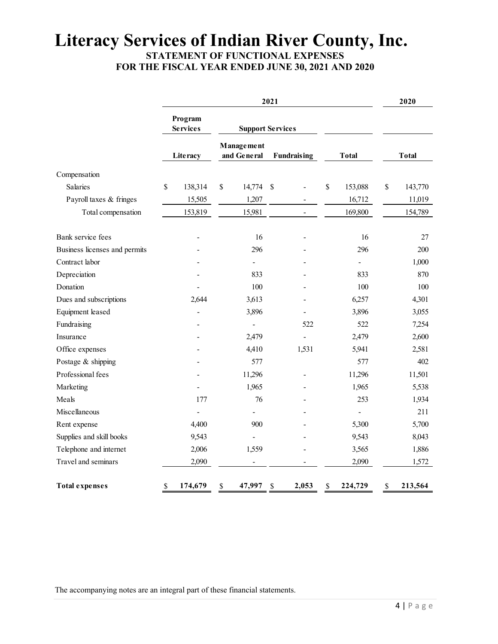# **Literacy Services of Indian River County, Inc.**

#### **STATEMENT OF FUNCTIONAL EXPENSES FOR THE FISCAL YEAR ENDED JUNE 30, 2021 AND 2020**

|                               |                            | 2020                      |                    |                          |               |  |
|-------------------------------|----------------------------|---------------------------|--------------------|--------------------------|---------------|--|
|                               | Program<br><b>Services</b> | <b>Support Services</b>   |                    |                          |               |  |
|                               | Literacy                   | Management<br>and General | <b>Fundraising</b> | <b>Total</b>             | <b>Total</b>  |  |
| Compensation                  |                            |                           |                    |                          |               |  |
| <b>Salaries</b>               | \$<br>138,314              | \$<br>14,774              | $\mathcal{S}$      | \$<br>153,088            | \$<br>143,770 |  |
| Payroll taxes & fringes       | 15,505                     | 1,207                     |                    | 16,712                   | 11,019        |  |
| Total compensation            | 153,819                    | 15,981                    |                    | 169,800                  | 154,789       |  |
| Bank service fees             | $\blacksquare$             | 16                        | L,                 | 16                       | 27            |  |
| Business licenses and permits |                            | 296                       |                    | 296                      | 200           |  |
| Contract labor                |                            | ÷,                        |                    | $\overline{\phantom{a}}$ | 1,000         |  |
| Depreciation                  |                            | 833                       |                    | 833                      | 870           |  |
| Donation                      |                            | 100                       |                    | 100                      | 100           |  |
| Dues and subscriptions        | 2,644                      | 3,613                     |                    | 6,257                    | 4,301         |  |
| Equipment leased              |                            | 3,896                     |                    | 3,896                    | 3,055         |  |
| Fundraising                   |                            |                           | 522                | 522                      | 7,254         |  |
| Insurance                     |                            | 2,479                     |                    | 2,479                    | 2,600         |  |
| Office expenses               |                            | 4,410                     | 1,531              | 5,941                    | 2,581         |  |
| Postage & shipping            |                            | 577                       |                    | 577                      | 402           |  |
| Professional fees             |                            | 11,296                    |                    | 11,296                   | 11,501        |  |
| Marketing                     |                            | 1,965                     |                    | 1,965                    | 5,538         |  |
| Meals                         | 177                        | 76                        |                    | 253                      | 1,934         |  |
| Miscellaneous                 |                            | L,                        |                    | $\overline{a}$           | 211           |  |
| Rent expense                  | 4,400                      | 900                       |                    | 5,300                    | 5,700         |  |
| Supplies and skill books      | 9,543                      |                           |                    | 9,543                    | 8,043         |  |
| Telephone and internet        | 2,006                      | 1,559                     |                    | 3,565                    | 1,886         |  |
| Travel and seminars           | 2,090                      |                           |                    | 2,090                    | 1,572         |  |
| <b>Total expenses</b>         | \$<br>174,679              | 47,997<br>S               | \$<br>2,053        | \$<br>224,729            | 213,564<br>S  |  |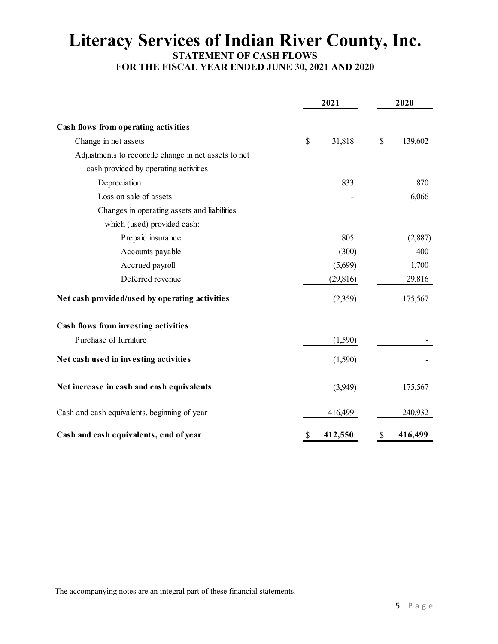## **Literacy Services of Indian River County, Inc. STATEMENT OF CASH FLOWS FOR THE FISCAL YEAR ENDED JUNE 30, 2021 AND 2020**

|                                                      | 2021 |           | 2020 |         |
|------------------------------------------------------|------|-----------|------|---------|
| Cash flows from operating activities                 |      |           |      |         |
| Change in net assets                                 | \$   | 31,818    | \$   | 139,602 |
| Adjustments to reconcile change in net assets to net |      |           |      |         |
| cash provided by operating activities                |      |           |      |         |
| Depreciation                                         |      | 833       |      | 870     |
| Loss on sale of assets                               |      |           |      | 6,066   |
| Changes in operating assets and liabilities          |      |           |      |         |
| which (used) provided cash:                          |      |           |      |         |
| Prepaid insurance                                    |      | 805       |      | (2,887) |
| Accounts payable                                     |      | (300)     |      | 400     |
| Accrued payroll                                      |      | (5,699)   |      | 1,700   |
| Deferred revenue                                     |      | (29, 816) |      | 29,816  |
| Net cash provided/used by operating activities       |      | (2,359)   |      | 175,567 |
| Cash flows from investing activities                 |      |           |      |         |
| Purchase of furniture                                |      | (1,590)   |      |         |
| Net cash used in investing activities                |      | (1,590)   |      |         |
| Net increase in cash and cash equivalents            |      | (3,949)   |      | 175,567 |
| Cash and cash equivalents, beginning of year         |      | 416,499   |      | 240,932 |
| Cash and cash equivalents, end of year               | S    | 412,550   | \$   | 416,499 |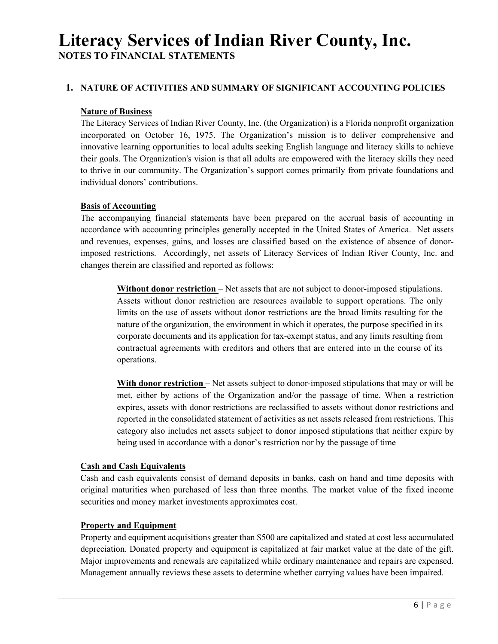#### **1. NATURE OF ACTIVITIES AND SUMMARY OF SIGNIFICANT ACCOUNTING POLICIES**

#### **Nature of Business**

The Literacy Services of Indian River County, Inc. (the Organization) is a Florida nonprofit organization incorporated on October 16, 1975. The Organization's mission is to deliver comprehensive and innovative learning opportunities to local adults seeking English language and literacy skills to achieve their goals. The Organization's vision is that all adults are empowered with the literacy skills they need to thrive in our community. The Organization's support comes primarily from private foundations and individual donors' contributions.

#### **Basis of Accounting**

The accompanying financial statements have been prepared on the accrual basis of accounting in accordance with accounting principles generally accepted in the United States of America. Net assets and revenues, expenses, gains, and losses are classified based on the existence of absence of donorimposed restrictions. Accordingly, net assets of Literacy Services of Indian River County, Inc. and changes therein are classified and reported as follows:

Without donor restriction – Net assets that are not subject to donor-imposed stipulations. Assets without donor restriction are resources available to support operations. The only limits on the use of assets without donor restrictions are the broad limits resulting for the nature of the organization, the environment in which it operates, the purpose specified in its corporate documents and its application for tax-exempt status, and any limits resulting from contractual agreements with creditors and others that are entered into in the course of its operations.

**With donor restriction** – Net assets subject to donor-imposed stipulations that may or will be met, either by actions of the Organization and/or the passage of time. When a restriction expires, assets with donor restrictions are reclassified to assets without donor restrictions and reported in the consolidated statement of activities as net assets released from restrictions. This category also includes net assets subject to donor imposed stipulations that neither expire by being used in accordance with a donor's restriction nor by the passage of time

#### **Cash and Cash Equivalents**

Cash and cash equivalents consist of demand deposits in banks, cash on hand and time deposits with original maturities when purchased of less than three months. The market value of the fixed income securities and money market investments approximates cost.

#### **Property and Equipment**

Property and equipment acquisitions greater than \$500 are capitalized and stated at cost less accumulated depreciation. Donated property and equipment is capitalized at fair market value at the date of the gift. Major improvements and renewals are capitalized while ordinary maintenance and repairs are expensed. Management annually reviews these assets to determine whether carrying values have been impaired.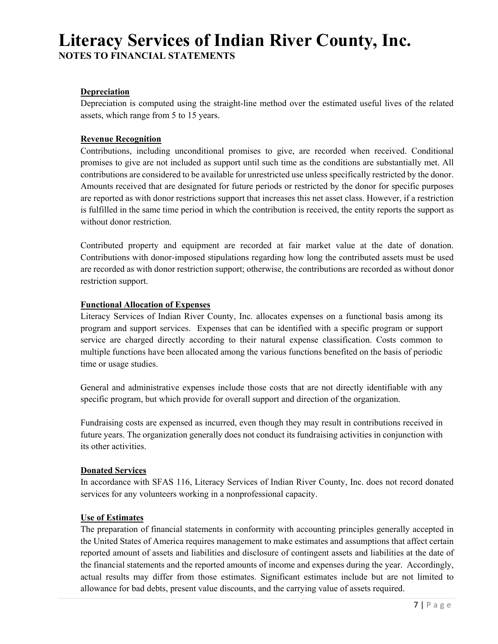#### **Depreciation**

Depreciation is computed using the straight-line method over the estimated useful lives of the related assets, which range from 5 to 15 years.

#### **Revenue Recognition**

Contributions, including unconditional promises to give, are recorded when received. Conditional promises to give are not included as support until such time as the conditions are substantially met. All contributions are considered to be available for unrestricted use unless specifically restricted by the donor. Amounts received that are designated for future periods or restricted by the donor for specific purposes are reported as with donor restrictions support that increases this net asset class. However, if a restriction is fulfilled in the same time period in which the contribution is received, the entity reports the support as without donor restriction.

Contributed property and equipment are recorded at fair market value at the date of donation. Contributions with donor-imposed stipulations regarding how long the contributed assets must be used are recorded as with donor restriction support; otherwise, the contributions are recorded as without donor restriction support.

#### **Functional Allocation of Expenses**

Literacy Services of Indian River County, Inc. allocates expenses on a functional basis among its program and support services. Expenses that can be identified with a specific program or support service are charged directly according to their natural expense classification. Costs common to multiple functions have been allocated among the various functions benefited on the basis of periodic time or usage studies.

General and administrative expenses include those costs that are not directly identifiable with any specific program, but which provide for overall support and direction of the organization.

Fundraising costs are expensed as incurred, even though they may result in contributions received in future years. The organization generally does not conduct its fundraising activities in conjunction with its other activities.

#### **Donated Services**

In accordance with SFAS 116, Literacy Services of Indian River County, Inc. does not record donated services for any volunteers working in a nonprofessional capacity.

#### **Use of Estimates**

The preparation of financial statements in conformity with accounting principles generally accepted in the United States of America requires management to make estimates and assumptions that affect certain reported amount of assets and liabilities and disclosure of contingent assets and liabilities at the date of the financial statements and the reported amounts of income and expenses during the year. Accordingly, actual results may differ from those estimates. Significant estimates include but are not limited to allowance for bad debts, present value discounts, and the carrying value of assets required.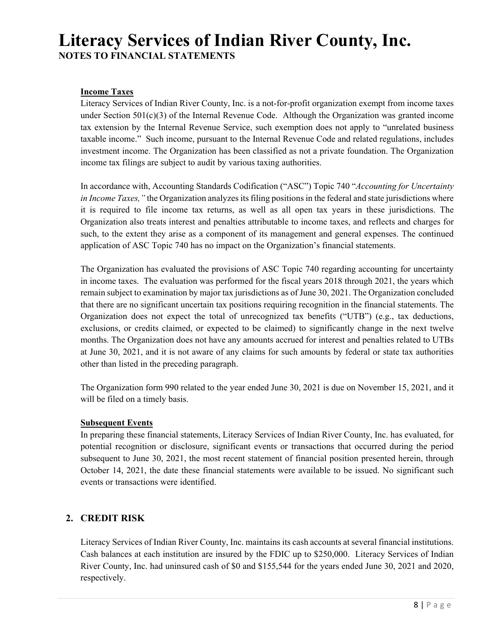#### **Income Taxes**

Literacy Services of Indian River County, Inc. is a not-for-profit organization exempt from income taxes under Section  $501(c)(3)$  of the Internal Revenue Code. Although the Organization was granted income tax extension by the Internal Revenue Service, such exemption does not apply to "unrelated business taxable income." Such income, pursuant to the Internal Revenue Code and related regulations, includes investment income. The Organization has been classified as not a private foundation. The Organization income tax filings are subject to audit by various taxing authorities.

In accordance with, Accounting Standards Codification ("ASC") Topic 740 "*Accounting for Uncertainty in Income Taxes,"* the Organization analyzes its filing positions in the federal and state jurisdictions where it is required to file income tax returns, as well as all open tax years in these jurisdictions. The Organization also treats interest and penalties attributable to income taxes, and reflects and charges for such, to the extent they arise as a component of its management and general expenses. The continued application of ASC Topic 740 has no impact on the Organization's financial statements.

The Organization has evaluated the provisions of ASC Topic 740 regarding accounting for uncertainty in income taxes. The evaluation was performed for the fiscal years 2018 through 2021, the years which remain subject to examination by major tax jurisdictions as of June 30, 2021. The Organization concluded that there are no significant uncertain tax positions requiring recognition in the financial statements. The Organization does not expect the total of unrecognized tax benefits ("UTB") (e.g., tax deductions, exclusions, or credits claimed, or expected to be claimed) to significantly change in the next twelve months. The Organization does not have any amounts accrued for interest and penalties related to UTBs at June 30, 2021, and it is not aware of any claims for such amounts by federal or state tax authorities other than listed in the preceding paragraph.

The Organization form 990 related to the year ended June 30, 2021 is due on November 15, 2021, and it will be filed on a timely basis.

#### **Subsequent Events**

In preparing these financial statements, Literacy Services of Indian River County, Inc. has evaluated, for potential recognition or disclosure, significant events or transactions that occurred during the period subsequent to June 30, 2021, the most recent statement of financial position presented herein, through October 14, 2021, the date these financial statements were available to be issued. No significant such events or transactions were identified.

#### **2. CREDIT RISK**

Literacy Services of Indian River County, Inc. maintains its cash accounts at several financial institutions. Cash balances at each institution are insured by the FDIC up to \$250,000. Literacy Services of Indian River County, Inc. had uninsured cash of \$0 and \$155,544 for the years ended June 30, 2021 and 2020, respectively.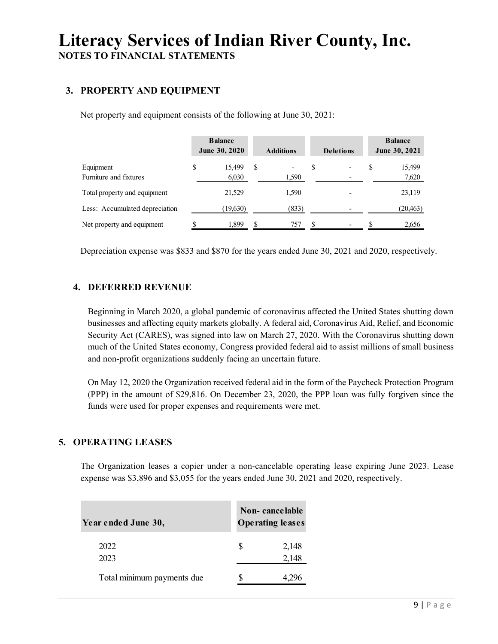#### **3. PROPERTY AND EQUIPMENT**

Net property and equipment consists of the following at June 30, 2021:

|                                |   | <b>Balance</b><br>June 30, 2020 | <b>Additions</b>               |   | <b>Deletions</b> |   | <b>Balance</b><br>June 30, 2021 |
|--------------------------------|---|---------------------------------|--------------------------------|---|------------------|---|---------------------------------|
| Equipment                      | S | 15,499                          | \$<br>$\overline{\phantom{a}}$ | S |                  | S | 15,499                          |
| Furniture and fixtures         |   | 6,030                           | 1,590                          |   |                  |   | 7,620                           |
| Total property and equipment   |   | 21,529                          | 1,590                          |   |                  |   | 23,119                          |
| Less: Accumulated depreciation |   | (19,630)                        | (833)                          |   |                  |   | (20, 463)                       |
| Net property and equipment     |   | 1,899                           | 757                            |   |                  |   | 2,656                           |

Depreciation expense was \$833 and \$870 for the years ended June 30, 2021 and 2020, respectively.

#### **4. DEFERRED REVENUE**

Beginning in March 2020, a global pandemic of coronavirus affected the United States shutting down businesses and affecting equity markets globally. A federal aid, Coronavirus Aid, Relief, and Economic Security Act (CARES), was signed into law on March 27, 2020. With the Coronavirus shutting down much of the United States economy, Congress provided federal aid to assist millions of small business and non-profit organizations suddenly facing an uncertain future.

On May 12, 2020 the Organization received federal aid in the form of the Paycheck Protection Program (PPP) in the amount of \$29,816. On December 23, 2020, the PPP loan was fully forgiven since the funds were used for proper expenses and requirements were met.

#### **5. OPERATING LEASES**

The Organization leases a copier under a non-cancelable operating lease expiring June 2023. Lease expense was \$3,896 and \$3,055 for the years ended June 30, 2021 and 2020, respectively.

| Year ended June 30,        |   | <b>Non-cancelable</b><br>Operating leases |  |  |  |  |
|----------------------------|---|-------------------------------------------|--|--|--|--|
| 2022                       | S | 2,148                                     |  |  |  |  |
| 2023                       |   | 2,148                                     |  |  |  |  |
| Total minimum payments due |   |                                           |  |  |  |  |
|                            |   |                                           |  |  |  |  |